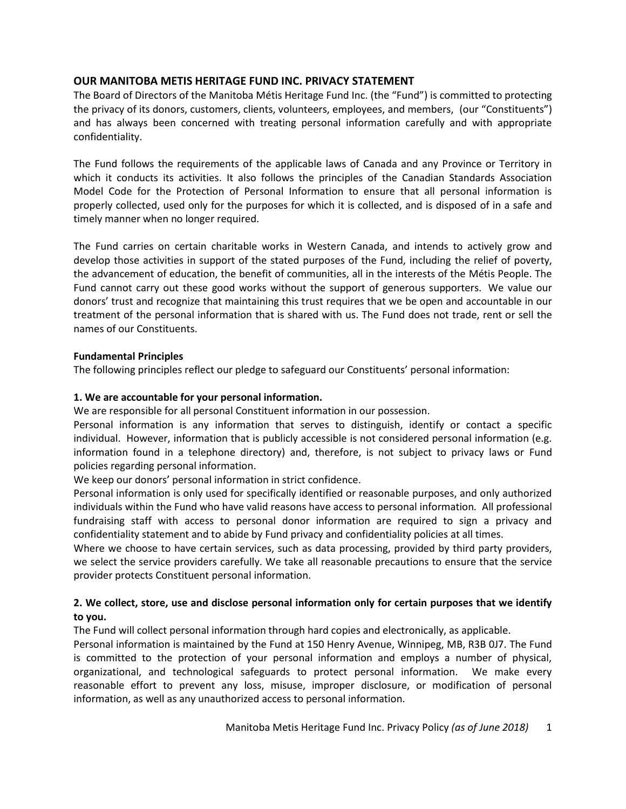# **OUR MANITOBA METIS HERITAGE FUND INC. PRIVACY STATEMENT**

The Board of Directors of the Manitoba Métis Heritage Fund Inc. (the "Fund") is committed to protecting the privacy of its donors, customers, clients, volunteers, employees, and members, (our "Constituents") and has always been concerned with treating personal information carefully and with appropriate confidentiality.

The Fund follows the requirements of the applicable laws of Canada and any Province or Territory in which it conducts its activities. It also follows the principles of the Canadian Standards Association Model Code for the Protection of Personal Information to ensure that all personal information is properly collected, used only for the purposes for which it is collected, and is disposed of in a safe and timely manner when no longer required.

The Fund carries on certain charitable works in Western Canada, and intends to actively grow and develop those activities in support of the stated purposes of the Fund, including the relief of poverty, the advancement of education, the benefit of communities, all in the interests of the Métis People. The Fund cannot carry out these good works without the support of generous supporters. We value our donors' trust and recognize that maintaining this trust requires that we be open and accountable in our treatment of the personal information that is shared with us. The Fund does not trade, rent or sell the names of our Constituents.

### **Fundamental Principles**

The following principles reflect our pledge to safeguard our Constituents' personal information:

## **1. We are accountable for your personal information.**

We are responsible for all personal Constituent information in our possession.

Personal information is any information that serves to distinguish, identify or contact a specific individual. However, information that is publicly accessible is not considered personal information (e.g. information found in a telephone directory) and, therefore, is not subject to privacy laws or Fund policies regarding personal information.

We keep our donors' personal information in strict confidence.

Personal information is only used for specifically identified or reasonable purposes, and only authorized individuals within the Fund who have valid reasons have access to personal information*.* All professional fundraising staff with access to personal donor information are required to sign a privacy and confidentiality statement and to abide by Fund privacy and confidentiality policies at all times.

Where we choose to have certain services, such as data processing, provided by third party providers, we select the service providers carefully. We take all reasonable precautions to ensure that the service provider protects Constituent personal information.

# **2. We collect, store, use and disclose personal information only for certain purposes that we identify to you.**

The Fund will collect personal information through hard copies and electronically, as applicable.

Personal information is maintained by the Fund at 150 Henry Avenue, Winnipeg, MB, R3B 0J7. The Fund is committed to the protection of your personal information and employs a number of physical, organizational, and technological safeguards to protect personal information. We make every reasonable effort to prevent any loss, misuse, improper disclosure, or modification of personal information, as well as any unauthorized access to personal information.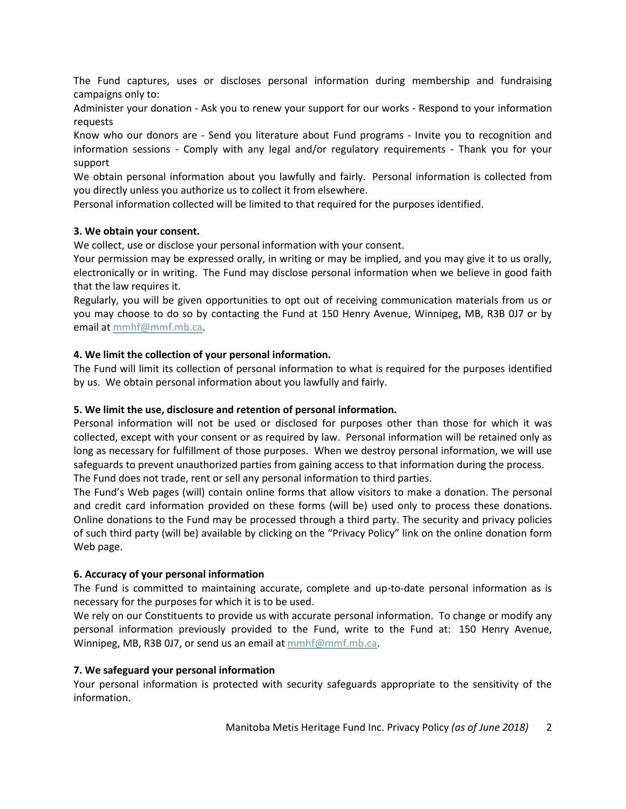The Fund captures, uses or discloses personal information during membership and fundraising campaigns only to:

Administer your donation - Ask you to renew your support for our works - Respond to your information requests

Know who our donors are - Send you literature about Fund programs - Invite you to recognition and information sessions - Comply with any legal and/or regulatory requirements - Thank you for your support

We obtain personal information about you lawfully and fairly. Personal information is collected from you directly unless you authorize us to collect it from elsewhere.

Personal information collected will be limited to that required for the purposes identified.

## **3. We obtain your consent.**

We collect, use or disclose your personal information with your consent.

Your permission may be expressed orally, in writing or may be implied, and you may give it to us orally, electronically or in writing. The Fund may disclose personal information when we believe in good faith that the law requires it.

Regularly, you will be given opportunities to opt out of receiving communication materials from us or you may choose to do so by contacting the Fund at 150 Henry Avenue, Winnipeg, MB, R3B 0J7 or by email a[t mmhf@mmf.mb.ca.](mailto:mmhf@mmf.mb.ca)

## **4. We limit the collection of your personal information.**

The Fund will limit its collection of personal information to what is required for the purposes identified by us. We obtain personal information about you lawfully and fairly.

## **5. We limit the use, disclosure and retention of personal information.**

Personal information will not be used or disclosed for purposes other than those for which it was collected, except with your consent or as required by law. Personal information will be retained only as long as necessary for fulfillment of those purposes. When we destroy personal information, we will use safeguards to prevent unauthorized parties from gaining access to that information during the process. The Fund does not trade, rent or sell any personal information to third parties.

The Fund's Web pages (will) contain online forms that allow visitors to make a donation. The personal and credit card information provided on these forms (will be) used only to process these donations. Online donations to the Fund may be processed through a third party. The security and privacy policies of such third party (will be) available by clicking on the "Privacy Policy" link on the online donation form Web page.

# **6. Accuracy of your personal information**

The Fund is committed to maintaining accurate, complete and up-to-date personal information as is necessary for the purposes for which it is to be used.

We rely on our Constituents to provide us with accurate personal information. To change or modify any personal information previously provided to the Fund, write to the Fund at: 150 Henry Avenue, Winnipeg, MB, R3B 0J7, or send us an email at [mmhf@mmf.mb.ca.](mailto:mmhf@mmf.mb.ca)

## **7. We safeguard your personal information**

Your personal information is protected with security safeguards appropriate to the sensitivity of the information.